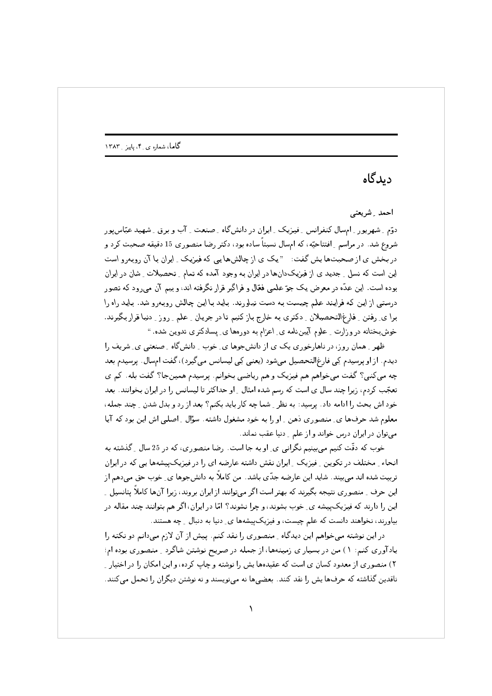## دىدگاە

احمد شريعتي

دوّم ِ شهرپور ِ امسال کنفرانس ِ فیزیک ِ ایران در دانشگاه ِ صنعت ِ آب و برق ِ شهید عبّاس پور شروع شد. در مراسم ِ افتتاحیّه، که امسال نسبتاً ساده بود، دکتر رضا منصوری 15 دقیقه صحبت کرد و در بخش ی از صحبتها پش گفت: " یک ی از چالشها یی که فیزیک ِ ایران با آن روبهرو است این است که نسل ِ جدید ی از فیزیکدانها در ایران به وجود آمده که تمام ِ تحصیلات ِ شان در ایران بوده است. این عدّه در معرض یک جوّ علمی فعّال و فراگیر قرار نگرفته اند، و بیم آن می٫ود که تصور درستی از این که فرایند علم چیست به دست نیاورند. باید با این چالش روبهرو شد. باید راه را برا ی ِ رفتن ۔ِ فارغ|لتحصیلان ۔ِ دکتری به خارج باز کنیم تا در جریان ۔ِ علم ۔ِ روز ۔ِ دنیا قرار بگیرند. خوشبختانه در وزارت ِ علوم آیینِنامه ی ِ اعزام به دورهها ی ِ پسادکتری تدوین شده. "

ظهر ِ همان روز، در ناهارخوری یک ی از دانشجوها ی ِ خوب ِ دانشگاه ِ صنعتی ی ِ شریف را دیدم. از او پرسیدم کِی فارغ|لتحصیل می شود (یعنی کِی لیسانس می گیرد)، گفت امسال. پرسیدم بعد چه میکنی؟ گفت میخواهم هم فیزیک و هم ریاضی بخوانم. پرسیدم همینجا؟ گفت بله. کم ی تعجّب کردم، زیرا چند سال ی است که رسم شده امثال ِ او حداکثر تا لیسانس را در ایران بخوانند. بعد خود اش بحث را ادامه داد . پرسید : به نظر ِ شما چه کار باید بکنم؟ بعد از رد و بدل شدن ِ چند جمله ، معلوم شد حرفها ي ِ منصوري دهن ِ او را به خود مشغول داشته . سؤال ِ اصلي اش اين بود كه آيا می توان در ایران درس خواند و از علم ِ دنیا عقب نماند.

خوب که دقّت کنیم می بینیم نگرانی ی ِ او به جا است. رضا منصوری، که در 25 سال ِ گذشته به انحاء ِ مختلف در تکوین ِ فیزیک ِ ایران نقش داشته عارضه ای را در فیزیکپیشهها یی که در ایران تربیت شده اند می بیند . شاید این عارضه جدّی باشد. من کاملاً به دانشجوها ی ِ خوب حق میدهم از این حرف ِ منصوری نتیجه بگیرند که بهتر است اگر میتوانند از ایران بروند، زیرا آنها کاملاً یتانسیل ِ ِ این را دارند که فیزیکپیشه ی ِ خوب بشوند، و چرا نشوند؟ امّا در ایران، اگر هم بتوانند چند مقاله در بیاورند، نخواهند دانست که علم چیست، و فیزیک پیشهها ی ِ دنیا به دنبال ِ چه هستند.

در این نوشته میخواهم این دیدگاه و منصوری را نقد کنم. پیش از آن لازم میدانم دو نکته را یادآوری کنم: ۱) من در بسیار ی زمینهها، از جمله در صریح نوشتن شاگرد ِ منصوری بوده ام؛ ۲) منصوری از معدود کسان ی است که عقیدهها پش را نوشته و چاپ کرده، و این امکان را در اختیار ِ ناقدین گذاشته که حرفها یش را نقد کنند. بعضیها نه مینویسند و نه نوشتن دیگران را تحمل میکنند.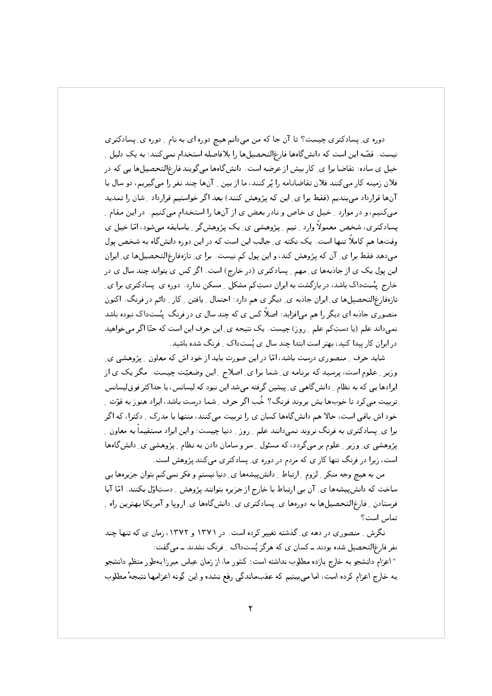دوره ی ِ پسادکتری چیست؟ تا آن جا که من میدانم هیچ دوره ای به نام ِ دوره ی ِ پسادکتری نیست. قصّه این است که دانشگاهها فارغ|لتحصیلها را بلافاصله استخدام نمیکنند؛ به یک دلیل ِ خیل ی ساده: تقاضا برا ی ِ کار بیش از عرضه است. دانش&اها میگویند فارغ|لتحصیلها یی که در فلان زمینه کار میکنند فلان تقاضانامه را یُرکنند، ما از بین 15نها چند نفر را میگیریم، دو سال با آنها قرارداد میبندیم (فقط برا ی ِ این که پژوهش کنند) بعد اگر خواستیم قرارداد ِ شان را تمدید می کنیم، و در موارد \_ خیل ی خاص و نادر بعض ی از آنها را استخدام می کنیم. در این مقام \_ پسادکتری، شخص معمولاً وارد \_ تیم \_ پژوهشي ي\_ يک پژوهشگر \_ باسابقه مىشود، امّا خيل ي وقتحا هم کاملاً تنها است. یک نکته ی ِ جالب این است که در این دوره دانش گاه به شخص پول میدهد فقط برا ی ِ آن که پژوهش کند، و این پول کم نیست. برا ی ِ تازهفارغ التحصیلها ی ِ ایران این پول یک ی از جاذبهها ی ِ مهم ِ پِسادکتری (در خارج) است. اگر کس ی بتواند چند سال ی در خارج پُستداک باشد، در بازگشت به ایران دستِکم مشکل ِ مسکن ندارد. دوره ی پسادکتری برا ی تازهفارغالتحصیلها ی ِ ایران جادبه ی ِ دیگر ی هم دارد: احتمال ِ یافتن ِ کار ِ دائم در فرنگ. اکنون منصوری جاذبه ای دیگر را هم می|فزاید: اصلاً کس ی که چند سال ی در فرنگ پستداک نبوده باشد نمیداند علم (یا دستِکم علم ِ روز) چیست. یک نتیجه ی ِ این حرف این است که حتّا اگر میخواهید در ایران کار پیدا کنید، بهتر است ابتدا چند سال ی پُستداک -ِ فرنگ شده باشید.

شاید حرف ِ منصوری درست باشد، امّا در این صورت باید از خود اش که معاون ِ پژوهشی ی ِ وزیر ِ علوم است، پرسید که برنامه ی ِ شما برا ی ِ اصلاح ِ این وضعیّت چیست. مگر یک ی از ایرادها یبی که به نظام ِ دانش&اهی ی ِ پیشین گرفته میشد این نبود که لیسانس، یا حداکثر فوقلیسانس تربیت میکرد تا خوبها پش بروند فرنگ؟ خُب اگر حرف ِ شما درست باشد، ایراد هنوز به قوّت ِ خود اش باقی است، حالا هم دانش گاهها کسان ی را تربیت میکنند، منتها با مدرک \_ دکترا، که اگر برا ی ِ پسادکتری به فرنگ نروند نمیدانند علم ِ روز ِ دنیا چیست؛ و این ایراد مستقیماً به معاون ِ پژوهشی ی ِ وزیر ِ علوم بر میگردد، که مسئول ِ سر و سامان دادن به نظام ِ پژوهشی ی ِ دانش گاهها است، زیرا در فرنگ تنها کار ی که مردم در دوره ی ِ پسادکتری میکنند پژوهش است.

من به هیچ وجه منکر <sub>-</sub> لزوم <sub>-</sub> ارتباط <sub>-</sub> دانشپیشهها ی ِ دنیا نیستم و فکر نمیکنم بتوان جزیرهها یی ساخت که دانش پیشهها ی ِ آن بی ارتباط با خارج از جزیره بتوانند پژوهش ِ دستِاوّل بکنند. امّا آیا فرستادن ِ فارغ|لتحصیلها به دورهها ی ِ پسادکتری ی ِ دانشگاهها ی ِ اروپا و آمریکا بهترین راه ِ تماس است؟

نگرش ِ منصوری در دهه ی ِ گذشته تغییر کرده است. در ۱۳۷۱ و ۱۳۷۲، زمان ی که تنها چند نفر فارغ|لتحصیل شده بودند ــ کسان ی که هرگز پُستداک ِ فرنگ نشدند ــ می گفت: " اعزام دانشجو به خارج بازده مطلوب نداشته است: کشور ما، از زمان عباس میرزا بهطور منظم دانشجو به خارج اعزام کرده است، اما می بینیم که عقبماندگی رفع نشده و این گونه اعزامها نتیجهٔ مطلوب